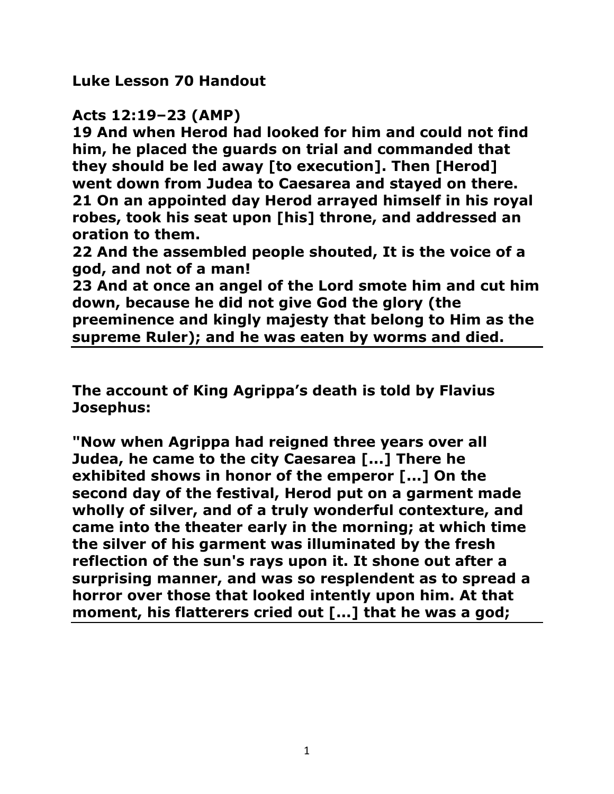**Luke Lesson 70 Handout** 

## **Acts 12:19–23 (AMP)**

**19 And when Herod had looked for him and could not find him, he placed the guards on trial and commanded that they should be led away [to execution]. Then [Herod] went down from Judea to Caesarea and stayed on there. 21 On an appointed day Herod arrayed himself in his royal robes, took his seat upon [his] throne, and addressed an oration to them.** 

**22 And the assembled people shouted, It is the voice of a god, and not of a man!** 

**23 And at once an angel of the Lord smote him and cut him down, because he did not give God the glory (the preeminence and kingly majesty that belong to Him as the supreme Ruler); and he was eaten by worms and died.**

**The account of King Agrippa's death is told by Flavius Josephus:** 

**"Now when Agrippa had reigned three years over all Judea, he came to the city Caesarea [...] There he exhibited shows in honor of the emperor [...] On the second day of the festival, Herod put on a garment made wholly of silver, and of a truly wonderful contexture, and came into the theater early in the morning; at which time the silver of his garment was illuminated by the fresh reflection of the sun's rays upon it. It shone out after a surprising manner, and was so resplendent as to spread a horror over those that looked intently upon him. At that moment, his flatterers cried out [...] that he was a god;**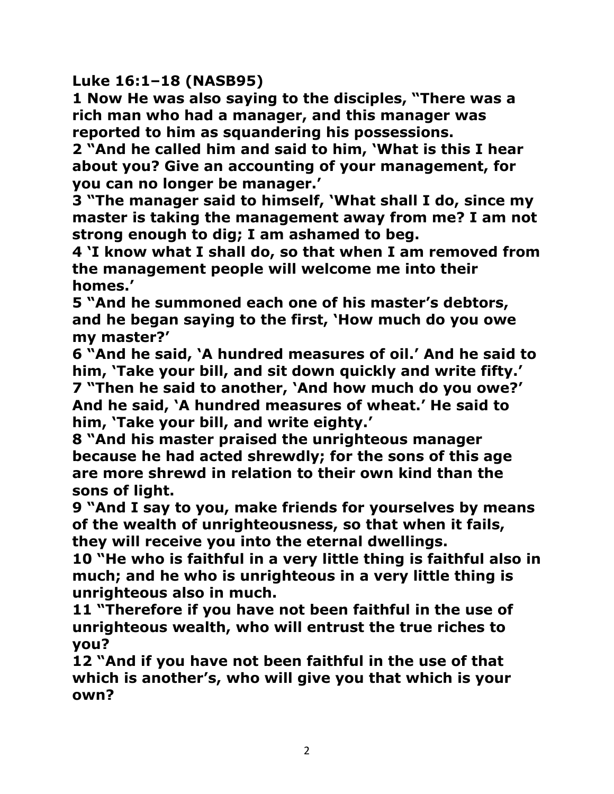**Luke 16:1–18 (NASB95)**

**1 Now He was also saying to the disciples, "There was a rich man who had a manager, and this manager was reported to him as squandering his possessions.** 

**2 "And he called him and said to him, 'What is this I hear about you? Give an accounting of your management, for you can no longer be manager.'** 

**3 "The manager said to himself, 'What shall I do, since my master is taking the management away from me? I am not strong enough to dig; I am ashamed to beg.** 

**4 'I know what I shall do, so that when I am removed from the management people will welcome me into their homes.'** 

**5 "And he summoned each one of his master's debtors, and he began saying to the first, 'How much do you owe my master?'** 

**6 "And he said, 'A hundred measures of oil.' And he said to him, 'Take your bill, and sit down quickly and write fifty.' 7 "Then he said to another, 'And how much do you owe?' And he said, 'A hundred measures of wheat.' He said to him, 'Take your bill, and write eighty.'** 

**8 "And his master praised the unrighteous manager because he had acted shrewdly; for the sons of this age are more shrewd in relation to their own kind than the sons of light.** 

**9 "And I say to you, make friends for yourselves by means of the wealth of unrighteousness, so that when it fails, they will receive you into the eternal dwellings.** 

**10 "He who is faithful in a very little thing is faithful also in much; and he who is unrighteous in a very little thing is unrighteous also in much.** 

**11 "Therefore if you have not been faithful in the use of unrighteous wealth, who will entrust the true riches to you?** 

**12 "And if you have not been faithful in the use of that which is another's, who will give you that which is your own?**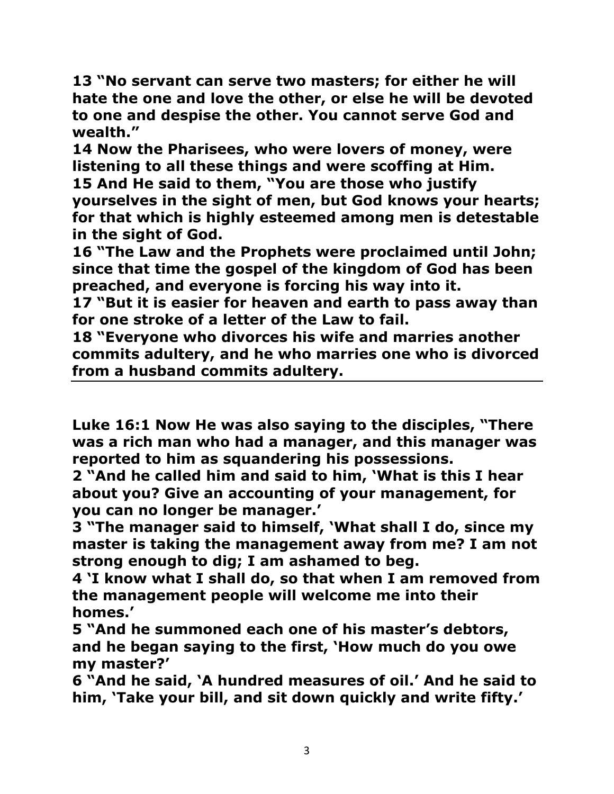**13 "No servant can serve two masters; for either he will hate the one and love the other, or else he will be devoted to one and despise the other. You cannot serve God and wealth."** 

**14 Now the Pharisees, who were lovers of money, were listening to all these things and were scoffing at Him.** 

**15 And He said to them, "You are those who justify yourselves in the sight of men, but God knows your hearts; for that which is highly esteemed among men is detestable in the sight of God.** 

**16 "The Law and the Prophets were proclaimed until John; since that time the gospel of the kingdom of God has been preached, and everyone is forcing his way into it.** 

**17 "But it is easier for heaven and earth to pass away than for one stroke of a letter of the Law to fail.** 

**18 "Everyone who divorces his wife and marries another commits adultery, and he who marries one who is divorced from a husband commits adultery.** 

**Luke 16:1 Now He was also saying to the disciples, "There was a rich man who had a manager, and this manager was reported to him as squandering his possessions.** 

**2 "And he called him and said to him, 'What is this I hear about you? Give an accounting of your management, for you can no longer be manager.'** 

**3 "The manager said to himself, 'What shall I do, since my master is taking the management away from me? I am not strong enough to dig; I am ashamed to beg.** 

**4 'I know what I shall do, so that when I am removed from the management people will welcome me into their homes.'** 

**5 "And he summoned each one of his master's debtors, and he began saying to the first, 'How much do you owe my master?'** 

**6 "And he said, 'A hundred measures of oil.' And he said to him, 'Take your bill, and sit down quickly and write fifty.'**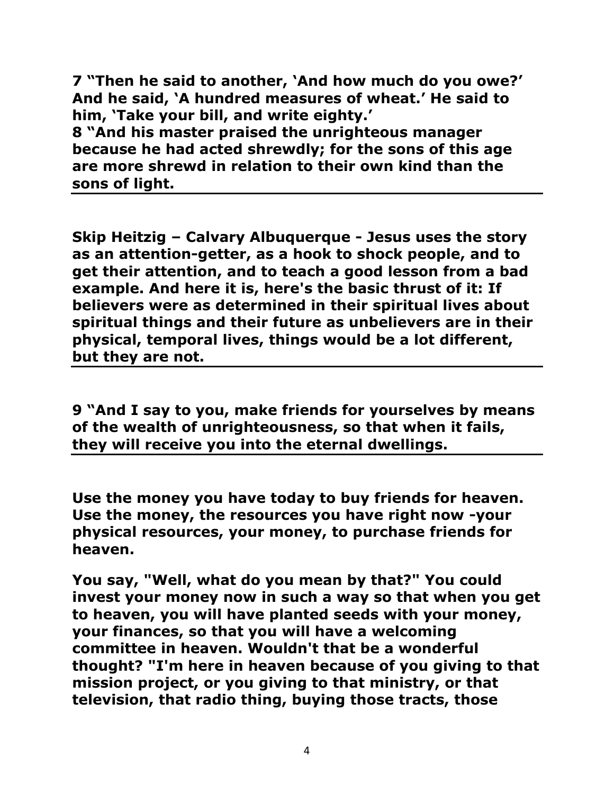**7 "Then he said to another, 'And how much do you owe?' And he said, 'A hundred measures of wheat.' He said to him, 'Take your bill, and write eighty.'** 

**8 "And his master praised the unrighteous manager because he had acted shrewdly; for the sons of this age are more shrewd in relation to their own kind than the sons of light.** 

**Skip Heitzig – Calvary Albuquerque - Jesus uses the story as an attention-getter, as a hook to shock people, and to get their attention, and to teach a good lesson from a bad example. And here it is, here's the basic thrust of it: If believers were as determined in their spiritual lives about spiritual things and their future as unbelievers are in their physical, temporal lives, things would be a lot different, but they are not.** 

**9 "And I say to you, make friends for yourselves by means of the wealth of unrighteousness, so that when it fails, they will receive you into the eternal dwellings.** 

**Use the money you have today to buy friends for heaven. Use the money, the resources you have right now -your physical resources, your money, to purchase friends for heaven.**

**You say, "Well, what do you mean by that?" You could invest your money now in such a way so that when you get to heaven, you will have planted seeds with your money, your finances, so that you will have a welcoming committee in heaven. Wouldn't that be a wonderful thought? "I'm here in heaven because of you giving to that mission project, or you giving to that ministry, or that television, that radio thing, buying those tracts, those**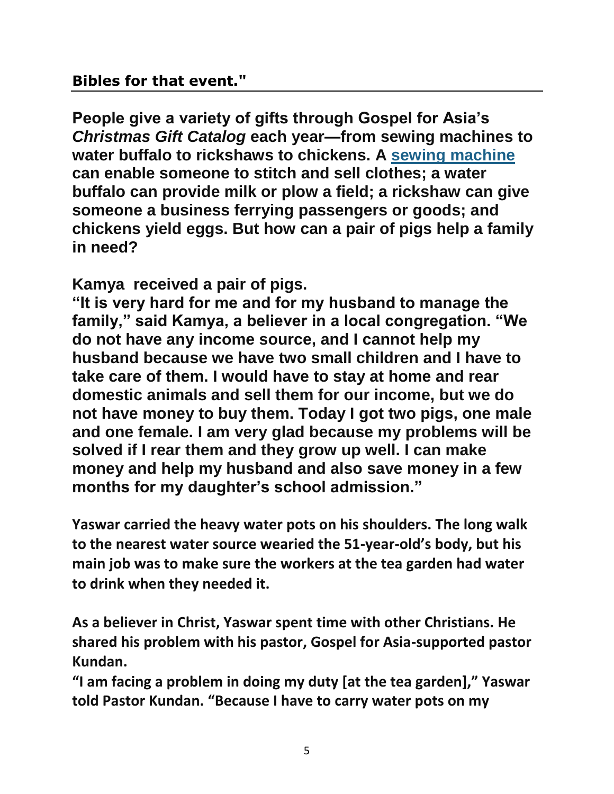## **Bibles for that event."**

**People give a variety of gifts through Gospel for Asia's**  *Christmas Gift Catalog* **each year—from sewing machines to water buffalo to rickshaws to chickens. A [sewing machine](http://gospelforasia-reports.org/2015/11/sewing-machine-unlocks-survival/?motiv=WB21-RB00&cm_mmc=GFAReports-_--_--_-) can enable someone to stitch and sell clothes; a water buffalo can provide milk or plow a field; a rickshaw can give someone a business ferrying passengers or goods; and chickens yield eggs. But how can a pair of pigs help a family in need?**

**Kamya received a pair of pigs.**

**"It is very hard for me and for my husband to manage the family," said Kamya, a believer in a local congregation. "We do not have any income source, and I cannot help my husband because we have two small children and I have to take care of them. I would have to stay at home and rear domestic animals and sell them for our income, but we do not have money to buy them. Today I got two pigs, one male and one female. I am very glad because my problems will be solved if I rear them and they grow up well. I can make money and help my husband and also save money in a few months for my daughter's school admission."**

**Yaswar carried the heavy water pots on his shoulders. The long walk to the nearest water source wearied the 51-year-old's body, but his main job was to make sure the workers at the tea garden had water to drink when they needed it.** 

**As a believer in Christ, Yaswar spent time with other Christians. He shared his problem with his pastor, Gospel for Asia-supported pastor Kundan.**

**"I am facing a problem in doing my duty [at the tea garden]," Yaswar told Pastor Kundan. "Because I have to carry water pots on my**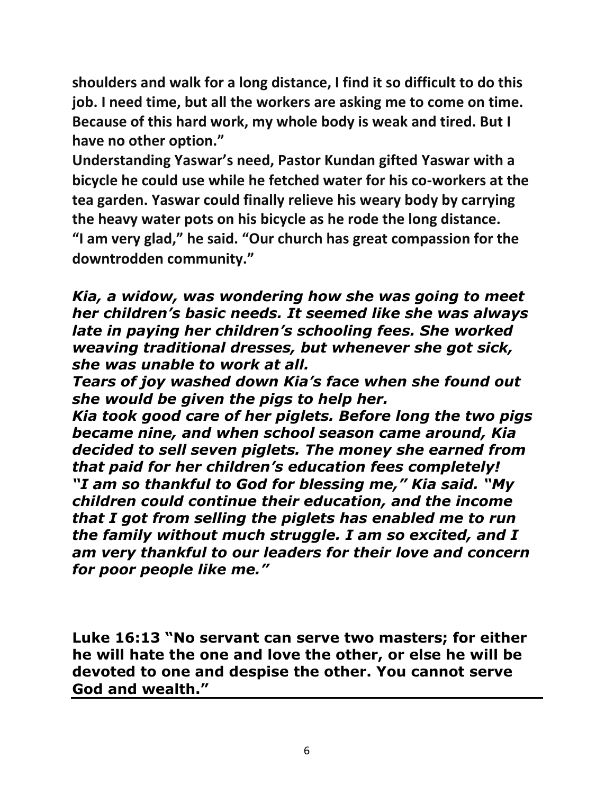**shoulders and walk for a long distance, I find it so difficult to do this job. I need time, but all the workers are asking me to come on time. Because of this hard work, my whole body is weak and tired. But I have no other option."**

**Understanding Yaswar's need, Pastor Kundan gifted Yaswar with a bicycle he could use while he fetched water for his co-workers at the tea garden. Yaswar could finally relieve his weary body by carrying the heavy water pots on his bicycle as he rode the long distance. "I am very glad," he said. "Our church has great compassion for the downtrodden community."**

*Kia, a widow, was wondering how she was going to meet her children's basic needs. It seemed like she was always late in paying her children's schooling fees. She worked weaving traditional dresses, but whenever she got sick, she was unable to work at all.*

*Tears of joy washed down Kia's face when she found out she would be given the pigs to help her.* 

*Kia took good care of her piglets. Before long the two pigs became nine, and when school season came around, Kia decided to sell seven piglets. The money she earned from that paid for her children's education fees completely! "I am so thankful to God for blessing me," Kia said. "My children could continue their education, and the income that I got from selling the piglets has enabled me to run the family without much struggle. I am so excited, and I am very thankful to our leaders for their love and concern for poor people like me."*

**Luke 16:13 "No servant can serve two masters; for either he will hate the one and love the other, or else he will be devoted to one and despise the other. You cannot serve God and wealth."**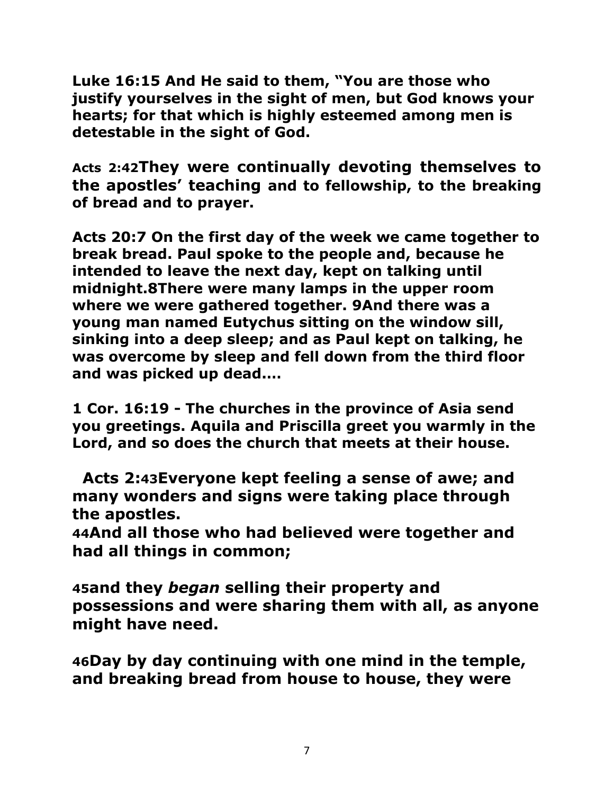**Luke 16:15 And He said to them, "You are those who justify yourselves in the sight of men, but God knows your hearts; for that which is highly esteemed among men is detestable in the sight of God.** 

**Acts 2[:42](http://biblehub.com/acts/2-42.htm)They were continually devoting themselves to the apostles' teaching and to fellowship, to the breaking of bread and to prayer.**

**Acts 20[:7](http://biblehub.com/acts/20-7.htm) On the first day of the week we came together to break bread. Paul spoke to the people and, because he intended to leave the next day, kept on talking until midnight[.8T](http://biblehub.com/acts/20-8.htm)here were many lamps in the upper room where we were gathered together. [9A](http://biblehub.com/acts/20-9.htm)nd there was a young man named Eutychus sitting on the window sill, sinking into a deep sleep; and as Paul kept on talking, he was overcome by sleep and fell down from the third floor and was picked up dead.…**

**1 Cor. 16:19 - The churches in the province of Asia send you greetings. Aquila and Priscilla greet you warmly in the Lord, and so does the church that meets at their house.**

 **Acts 2:[43](http://biblehub.com/acts/2-43.htm)Everyone kept feeling a sense of awe; and many wonders and signs were taking place through the apostles.**

**[44](http://biblehub.com/acts/2-44.htm)And all those who had believed were together and had all things in common;** 

**[45](http://biblehub.com/acts/2-45.htm)and they** *began* **selling their property and possessions and were sharing them with all, as anyone might have need.** 

**[46](http://biblehub.com/acts/2-46.htm)Day by day continuing with one mind in the temple, and breaking bread from house to house, they were**